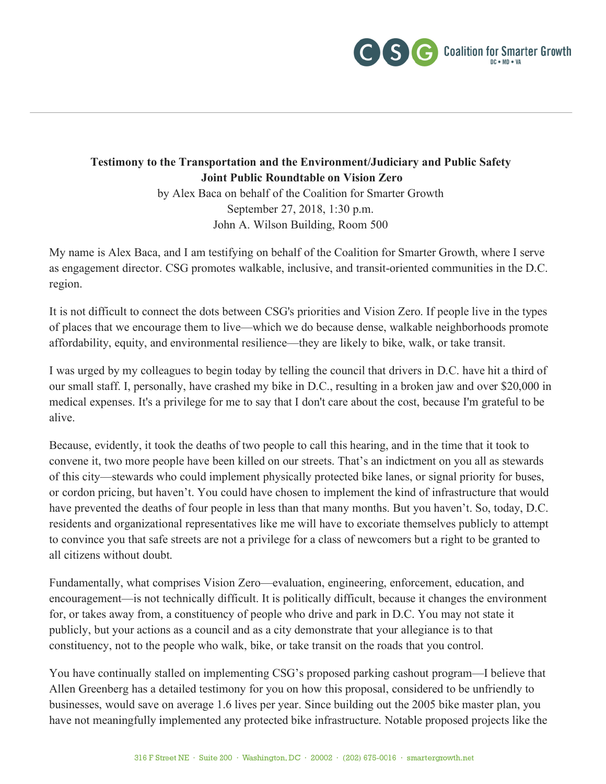

## **Testimony to the Transportation and the Environment/Judiciary and Public Safety Joint Public Roundtable on Vision Zero**

by Alex Baca on behalf of the Coalition for Smarter Growth September 27, 2018, 1:30 p.m. John A. Wilson Building, Room 500

My name is Alex Baca, and I am testifying on behalf of the Coalition for Smarter Growth, where I serve as engagement director. CSG promotes walkable, inclusive, and transit-oriented communities in the D.C. region.

It is not difficult to connect the dots between CSG's priorities and Vision Zero. If people live in the types of places that we encourage them to live—which we do because dense, walkable neighborhoods promote affordability, equity, and environmental resilience—they are likely to bike, walk, or take transit.

I was urged by my colleagues to begin today by telling the council that drivers in D.C. have hit a third of our small staff. I, personally, have crashed my bike in D.C., resulting in a broken jaw and over \$20,000 in medical expenses. It's a privilege for me to say that I don't care about the cost, because I'm grateful to be alive.

Because, evidently, it took the deaths of two people to call this hearing, and in the time that it took to convene it, two more people have been killed on our streets. That's an indictment on you all as stewards of this city—stewards who could implement physically protected bike lanes, or signal priority for buses, or cordon pricing, but haven't. You could have chosen to implement the kind of infrastructure that would have prevented the deaths of four people in less than that many months. But you haven't. So, today, D.C. residents and organizational representatives like me will have to excoriate themselves publicly to attempt to convince you that safe streets are not a privilege for a class of newcomers but a right to be granted to all citizens without doubt.

Fundamentally, what comprises Vision Zero—evaluation, engineering, enforcement, education, and encouragement—is not technically difficult. It is politically difficult, because it changes the environment for, or takes away from, a constituency of people who drive and park in D.C. You may not state it publicly, but your actions as a council and as a city demonstrate that your allegiance is to that constituency, not to the people who walk, bike, or take transit on the roads that you control.

You have continually stalled on implementing CSG's proposed parking cashout program—I believe that Allen Greenberg has a detailed testimony for you on how this proposal, considered to be unfriendly to businesses, would save on average 1.6 lives per year. Since building out the 2005 bike master plan, you have not meaningfully implemented any protected bike infrastructure. Notable proposed projects like the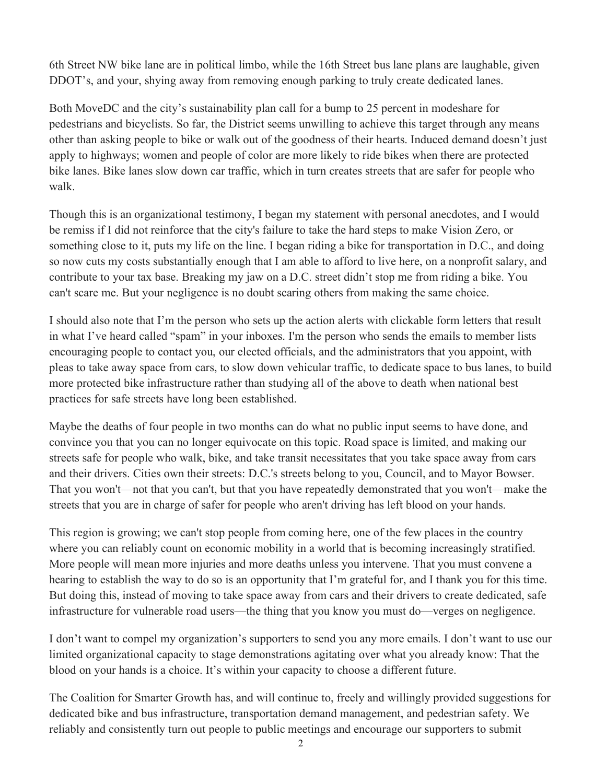6th Street NW bike lane are in political limbo, while the 16th Street bus lane plans are laughable, given DDOT's, and your, shying away from removing enough parking to truly create dedicated lanes.

Both MoveDC and the city's sustainability plan call for a bump to 25 percent in modeshare for pedestrians and bicyclists. So far, the District seems unwilling to achieve this target through any means other than asking people to bike or walk out of the goodness of their hearts. Induced demand doesn't just apply to highways; women and people of color are more likely to ride bikes when there are protected bike lanes. Bike lanes slow down car traffic, which in turn creates streets that are safer for people who walk.

Though this is an organizational testimony, I began my statement with personal anecdotes, and I would be remiss if I did not reinforce that the city's failure to take the hard steps to make Vision Zero, or something close to it, puts my life on the line. I began riding a bike for transportation in D.C., and doing so now cuts my costs substantially enough that I am able to afford to live here, on a nonprofit salary, and contribute to your tax base. Breaking my jaw on a D.C. street didn't stop me from riding a bike. You can't scare me. But your negligence is no doubt scaring others from making the same choice.

I should also note that I'm the person who sets up the action alerts with clickable form letters that result in what I've heard called "spam" in your inboxes. I'm the person who sends the emails to member lists encouraging people to contact you, our elected officials, and the administrators that you appoint, with pleas to take away space from cars, to slow down vehicular traffic, to dedicate space to bus lanes, to build more protected bike infrastructure rather than studying all of the above to death when national best practices for safe streets have long been established.

Maybe the deaths of four people in two months can do what no public input seems to have done, and convince you that you can no longer equivocate on this topic. Road space is limited, and making our streets safe for people who walk, bike, and take transit necessitates that you take space away from cars and their drivers. Cities own their streets: D.C.'s streets belong to you, Council, and to Mayor Bowser. That you won't—not that you can't, but that you have repeatedly demonstrated that you won't—make the streets that you are in charge of safer for people who aren't driving has left blood on your hands.

This region is growing; we can't stop people from coming here, one of the few places in the country where you can reliably count on economic mobility in a world that is becoming increasingly stratified. More people will mean more injuries and more deaths unless you intervene. That you must convene a hearing to establish the way to do so is an opportunity that I'm grateful for, and I thank you for this time. But doing this, instead of moving to take space away from cars and their drivers to create dedicated, safe infrastructure for vulnerable road users—the thing that you know you must do—verges on negligence.

I don't want to compel my organization's supporters to send you any more emails. I don't want to use our limited organizational capacity to stage demonstrations agitating over what you already know: That the blood on your hands is a choice. It's within your capacity to choose a different future.

The Coalition for Smarter Growth has, and will continue to, freely and willingly provided suggestions for dedicated bike and bus infrastructure, transportation demand management, and pedestrian safety. We reliably and consistently turn out people to public meetings and encourage our supporters to submit